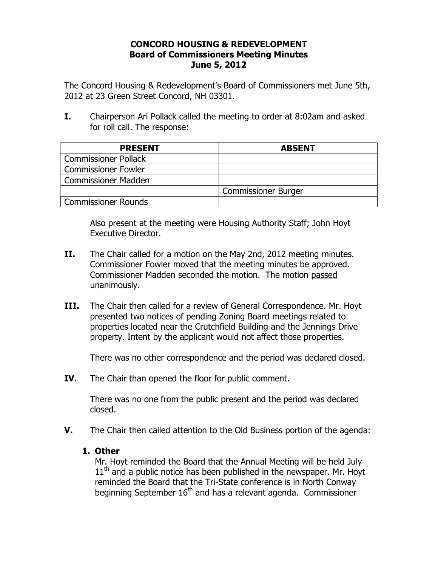## **CONCORD HOUSING & REDEVELOPMENT Board of Commissioners Meeting Minutes June 5, 2012**

The Concord Housing & Redevelopment's Board of Commissioners met June 5th, 2012 at 23 Green Street Concord, NH 03301.

**I.** Chairperson Ari Pollack called the meeting to order at 8:02am and asked for roll call. The response:

| <b>PRESENT</b>              | <b>ABSENT</b>              |
|-----------------------------|----------------------------|
| <b>Commissioner Pollack</b> |                            |
| <b>Commissioner Fowler</b>  |                            |
| <b>Commissioner Madden</b>  |                            |
|                             | <b>Commissioner Burger</b> |
| Commissioner Rounds         |                            |

Also present at the meeting were Housing Authority Staff; John Hoyt Executive Director.

- **II.** The Chair called for a motion on the May 2nd, 2012 meeting minutes. Commissioner Fowler moved that the meeting minutes be approved. Commissioner Madden seconded the motion. The motion passed unanimously.
- **III.** The Chair then called for a review of General Correspondence. Mr. Hoyt presented two notices of pending Zoning Board meetings related to properties located near the Crutchfield Building and the Jennings Drive property. Intent by the applicant would not affect those properties.

There was no other correspondence and the period was declared closed.

**IV.** The Chair than opened the floor for public comment.

There was no one from the public present and the period was declared closed.

**V.** The Chair then called attention to the Old Business portion of the agenda:

## **1. Other**

Mr. Hoyt reminded the Board that the Annual Meeting will be held July  $11<sup>th</sup>$  and a public notice has been published in the newspaper. Mr. Hoyt reminded the Board that the Tri-State conference is in North Conway beginning September  $16<sup>th</sup>$  and has a relevant agenda. Commissioner